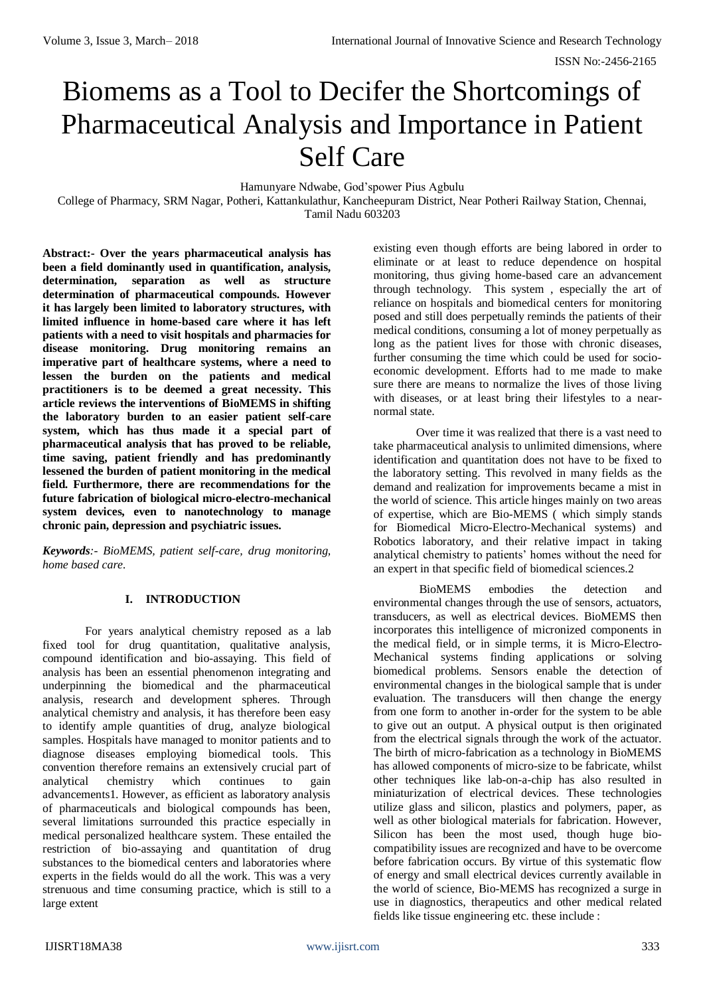# Biomems as a Tool to Decifer the Shortcomings of Pharmaceutical Analysis and Importance in Patient Self Care

Hamunyare Ndwabe, God'spower Pius Agbulu

College of Pharmacy, SRM Nagar, Potheri, Kattankulathur, Kancheepuram District, Near Potheri Railway Station, Chennai, Tamil Nadu 603203

**Abstract:- Over the years pharmaceutical analysis has been a field dominantly used in quantification, analysis, determination, separation as well as structure determination of pharmaceutical compounds. However it has largely been limited to laboratory structures, with limited influence in home-based care where it has left patients with a need to visit hospitals and pharmacies for disease monitoring. Drug monitoring remains an imperative part of healthcare systems, where a need to lessen the burden on the patients and medical practitioners is to be deemed a great necessity. This article reviews the interventions of BioMEMS in shifting the laboratory burden to an easier patient self-care system, which has thus made it a special part of pharmaceutical analysis that has proved to be reliable, time saving, patient friendly and has predominantly lessened the burden of patient monitoring in the medical field. Furthermore, there are recommendations for the future fabrication of biological micro-electro-mechanical system devices, even to nanotechnology to manage chronic pain, depression and psychiatric issues.**

*Keywords:- BioMEMS, patient self-care, drug monitoring, home based care.*

## **I. INTRODUCTION**

For years analytical chemistry reposed as a lab fixed tool for drug quantitation, qualitative analysis, compound identification and bio-assaying. This field of analysis has been an essential phenomenon integrating and underpinning the biomedical and the pharmaceutical analysis, research and development spheres. Through analytical chemistry and analysis, it has therefore been easy to identify ample quantities of drug, analyze biological samples. Hospitals have managed to monitor patients and to diagnose diseases employing biomedical tools. This convention therefore remains an extensively crucial part of analytical chemistry which continues to gain advancements1. However, as efficient as laboratory analysis of pharmaceuticals and biological compounds has been, several limitations surrounded this practice especially in medical personalized healthcare system. These entailed the restriction of bio-assaying and quantitation of drug substances to the biomedical centers and laboratories where experts in the fields would do all the work. This was a very strenuous and time consuming practice, which is still to a large extent

existing even though efforts are being labored in order to eliminate or at least to reduce dependence on hospital monitoring, thus giving home-based care an advancement through technology. This system , especially the art of reliance on hospitals and biomedical centers for monitoring posed and still does perpetually reminds the patients of their medical conditions, consuming a lot of money perpetually as long as the patient lives for those with chronic diseases, further consuming the time which could be used for socioeconomic development. Efforts had to me made to make sure there are means to normalize the lives of those living with diseases, or at least bring their lifestyles to a nearnormal state.

Over time it was realized that there is a vast need to take pharmaceutical analysis to unlimited dimensions, where identification and quantitation does not have to be fixed to the laboratory setting. This revolved in many fields as the demand and realization for improvements became a mist in the world of science. This article hinges mainly on two areas of expertise, which are Bio-MEMS ( which simply stands for Biomedical Micro-Electro-Mechanical systems) and Robotics laboratory, and their relative impact in taking analytical chemistry to patients' homes without the need for an expert in that specific field of biomedical sciences.2

BioMEMS embodies the detection and environmental changes through the use of sensors, actuators, transducers, as well as electrical devices. BioMEMS then incorporates this intelligence of micronized components in the medical field, or in simple terms, it is Micro-Electro-Mechanical systems finding applications or solving biomedical problems. Sensors enable the detection of environmental changes in the biological sample that is under evaluation. The transducers will then change the energy from one form to another in-order for the system to be able to give out an output. A physical output is then originated from the electrical signals through the work of the actuator. The birth of micro-fabrication as a technology in BioMEMS has allowed components of micro-size to be fabricate, whilst other techniques like lab-on-a-chip has also resulted in miniaturization of electrical devices. These technologies utilize glass and silicon, plastics and polymers, paper, as well as other biological materials for fabrication. However, Silicon has been the most used, though huge biocompatibility issues are recognized and have to be overcome before fabrication occurs. By virtue of this systematic flow of energy and small electrical devices currently available in the world of science, Bio-MEMS has recognized a surge in use in diagnostics, therapeutics and other medical related fields like tissue engineering etc. these include :